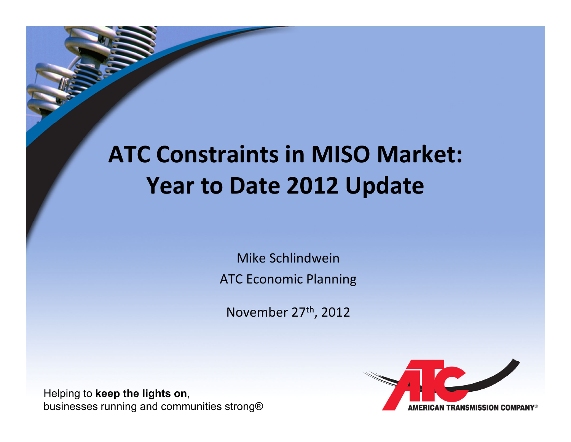# **ATC Constraints in MISO Market:Year to Date 2012 Update**

Mike SchlindweinATC Economic Planning

November 27th, 2012

Helping to **keep the lights on**, businesses running and communities strong®

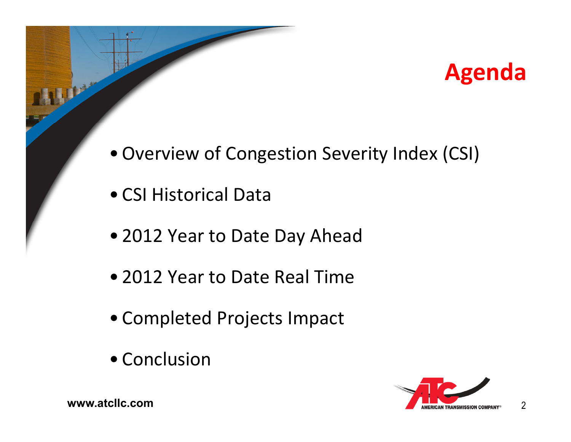

- Overview of Congestion Severity Index (CSI)
- CSI Historical Data
- 2012 Year to Date Day Ahead
- 2012 Year to Date Real Time
- Completed Projects Impact
- Conclusion

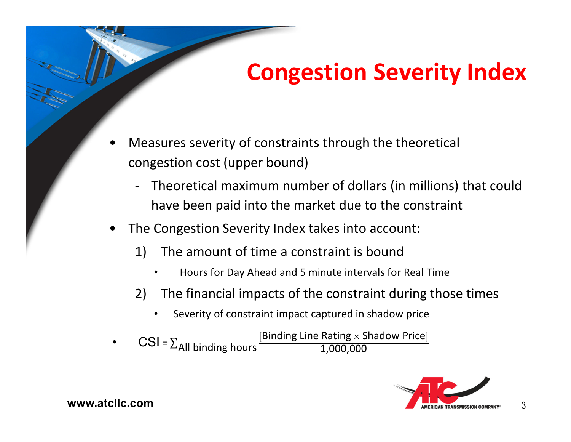## **Congestion Severity Index**

- • Measures severity of constraints through the theoretical congestion cost (upper bound)
	- Theoretical maximum number of dollars (in millions) that could have been paid into the market due to the constraint
- • The Congestion Severity Index takes into account:
	- 1) The amount of time a constraint is bound
		- •Hours for Day Ahead and 5 minute intervals for Real Time
	- 2) The financial impacts of the constraint during those times
		- •Severity of constraint impact captured in shadow price

CSI =  $\Sigma$ <sub>All</sub> binding hours  $\frac{[Binding Line Rating \times Shadow Price]}{1,000,000}$ 



3

**www.atcllc.com**

•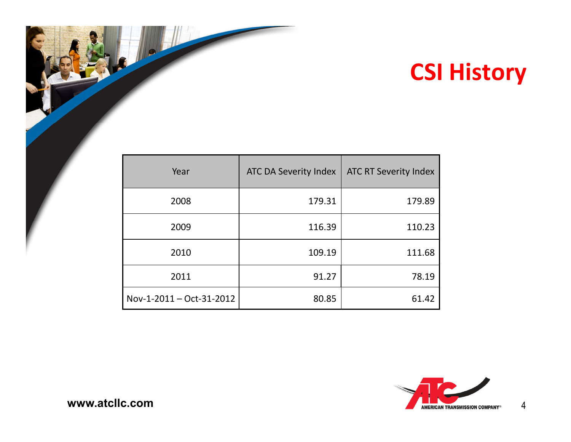## **CSI History**

| Year                     | <b>ATC DA Severity Index</b> | <b>ATC RT Severity Index</b> |
|--------------------------|------------------------------|------------------------------|
| 2008                     | 179.31                       | 179.89                       |
| 2009                     | 116.39                       | 110.23                       |
| 2010                     | 109.19                       | 111.68                       |
| 2011                     | 91.27                        | 78.19                        |
| Nov-1-2011 - Oct-31-2012 | 80.85                        | 61.42                        |

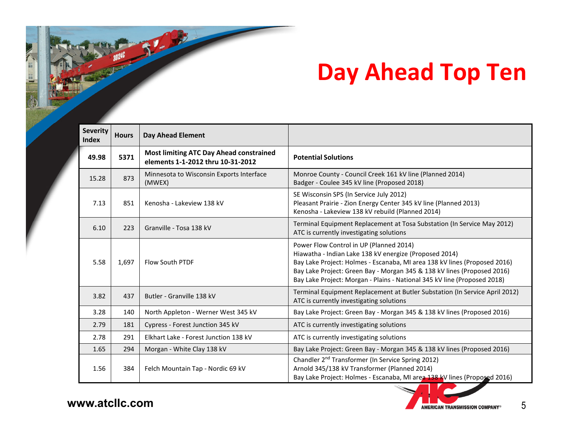## **Day Ahead Top Ten**

| <b>Severity</b><br><b>Index</b> | <b>Hours</b> | <b>Day Ahead Element</b>                                                            |                                                                                                                                                                                                                                                                                                                                       |  |
|---------------------------------|--------------|-------------------------------------------------------------------------------------|---------------------------------------------------------------------------------------------------------------------------------------------------------------------------------------------------------------------------------------------------------------------------------------------------------------------------------------|--|
| 49.98                           | 5371         | <b>Most limiting ATC Day Ahead constrained</b><br>elements 1-1-2012 thru 10-31-2012 | <b>Potential Solutions</b>                                                                                                                                                                                                                                                                                                            |  |
| 15.28                           | 873          | Minnesota to Wisconsin Exports Interface<br>(MWEX)                                  | Monroe County - Council Creek 161 kV line (Planned 2014)<br>Badger - Coulee 345 kV line (Proposed 2018)                                                                                                                                                                                                                               |  |
| 7.13                            | 851          | Kenosha - Lakeview 138 kV                                                           | SE Wisconsin SPS (In Service July 2012)<br>Pleasant Prairie - Zion Energy Center 345 kV line (Planned 2013)<br>Kenosha - Lakeview 138 kV rebuild (Planned 2014)                                                                                                                                                                       |  |
| 6.10                            | 223          | Granville - Tosa 138 kV                                                             | Terminal Equipment Replacement at Tosa Substation (In Service May 2012)<br>ATC is currently investigating solutions                                                                                                                                                                                                                   |  |
| 5.58                            | 1,697        | <b>Flow South PTDF</b>                                                              | Power Flow Control in UP (Planned 2014)<br>Hiawatha - Indian Lake 138 kV energize (Proposed 2014)<br>Bay Lake Project: Holmes - Escanaba, MI area 138 kV lines (Proposed 2016)<br>Bay Lake Project: Green Bay - Morgan 345 & 138 kV lines (Proposed 2016)<br>Bay Lake Project: Morgan - Plains - National 345 kV line (Proposed 2018) |  |
| 3.82                            | 437          | Butler - Granville 138 kV                                                           | Terminal Equipment Replacement at Butler Substation (In Service April 2012)<br>ATC is currently investigating solutions                                                                                                                                                                                                               |  |
| 3.28                            | 140          | North Appleton - Werner West 345 kV                                                 | Bay Lake Project: Green Bay - Morgan 345 & 138 kV lines (Proposed 2016)                                                                                                                                                                                                                                                               |  |
| 2.79                            | 181          | Cypress - Forest Junction 345 kV                                                    | ATC is currently investigating solutions                                                                                                                                                                                                                                                                                              |  |
| 2.78                            | 291          | Elkhart Lake - Forest Junction 138 kV                                               | ATC is currently investigating solutions                                                                                                                                                                                                                                                                                              |  |
| 1.65                            | 294          | Morgan - White Clay 138 kV                                                          | Bay Lake Project: Green Bay - Morgan 345 & 138 kV lines (Proposed 2016)                                                                                                                                                                                                                                                               |  |
| 1.56                            | 384          | Felch Mountain Tap - Nordic 69 kV                                                   | Chandler 2 <sup>nd</sup> Transformer (In Service Spring 2012)<br>Arnold 345/138 kV Transformer (Planned 2014)<br>Bay Lake Project: Holmes - Escanaba, MI area 138 kV lines (Proposed 2016)                                                                                                                                            |  |



5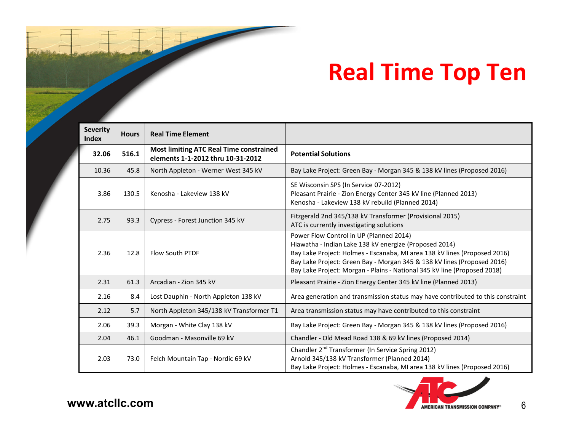## **Real Time Top Ten**

| <b>Severity</b><br><b>Index</b> | <b>Hours</b> | <b>Real Time Element</b>                                                            |                                                                                                                                                                                                                                                                                                                                       |  |
|---------------------------------|--------------|-------------------------------------------------------------------------------------|---------------------------------------------------------------------------------------------------------------------------------------------------------------------------------------------------------------------------------------------------------------------------------------------------------------------------------------|--|
| 32.06                           | 516.1        | <b>Most limiting ATC Real Time constrained</b><br>elements 1-1-2012 thru 10-31-2012 | <b>Potential Solutions</b>                                                                                                                                                                                                                                                                                                            |  |
| 10.36                           | 45.8         | North Appleton - Werner West 345 kV                                                 | Bay Lake Project: Green Bay - Morgan 345 & 138 kV lines (Proposed 2016)                                                                                                                                                                                                                                                               |  |
| 3.86                            | 130.5        | Kenosha - Lakeview 138 kV                                                           | SE Wisconsin SPS (In Service 07-2012)<br>Pleasant Prairie - Zion Energy Center 345 kV line (Planned 2013)<br>Kenosha - Lakeview 138 kV rebuild (Planned 2014)                                                                                                                                                                         |  |
| 2.75                            | 93.3         | Cypress - Forest Junction 345 kV                                                    | Fitzgerald 2nd 345/138 kV Transformer (Provisional 2015)<br>ATC is currently investigating solutions                                                                                                                                                                                                                                  |  |
| 2.36                            | 12.8         | <b>Flow South PTDF</b>                                                              | Power Flow Control in UP (Planned 2014)<br>Hiawatha - Indian Lake 138 kV energize (Proposed 2014)<br>Bay Lake Project: Holmes - Escanaba, MI area 138 kV lines (Proposed 2016)<br>Bay Lake Project: Green Bay - Morgan 345 & 138 kV lines (Proposed 2016)<br>Bay Lake Project: Morgan - Plains - National 345 kV line (Proposed 2018) |  |
| 2.31                            | 61.3         | Arcadian - Zion 345 kV                                                              | Pleasant Prairie - Zion Energy Center 345 kV line (Planned 2013)                                                                                                                                                                                                                                                                      |  |
| 2.16                            | 8.4          | Lost Dauphin - North Appleton 138 kV                                                | Area generation and transmission status may have contributed to this constraint                                                                                                                                                                                                                                                       |  |
| 2.12                            | 5.7          | North Appleton 345/138 kV Transformer T1                                            | Area transmission status may have contributed to this constraint                                                                                                                                                                                                                                                                      |  |
| 2.06                            | 39.3         | Morgan - White Clay 138 kV                                                          | Bay Lake Project: Green Bay - Morgan 345 & 138 kV lines (Proposed 2016)                                                                                                                                                                                                                                                               |  |
| 2.04                            | 46.1         | Goodman - Masonville 69 kV                                                          | Chandler - Old Mead Road 138 & 69 kV lines (Proposed 2014)                                                                                                                                                                                                                                                                            |  |
| 2.03                            | 73.0         | Felch Mountain Tap - Nordic 69 kV                                                   | Chandler 2 <sup>nd</sup> Transformer (In Service Spring 2012)<br>Arnold 345/138 kV Transformer (Planned 2014)<br>Bay Lake Project: Holmes - Escanaba, MI area 138 kV lines (Proposed 2016)                                                                                                                                            |  |

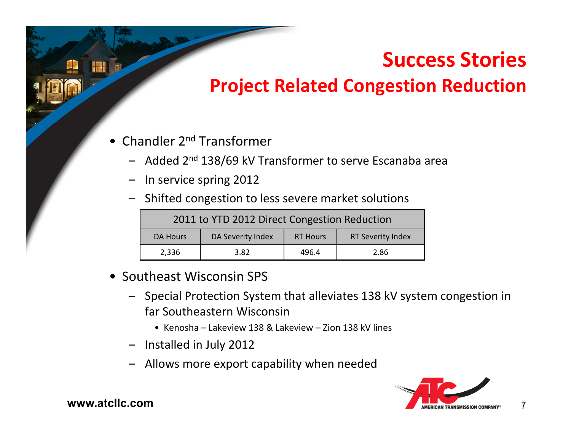### **Success Stories**

#### **Project Related Congestion Reduction**

- Chandler 2<sup>nd</sup> Transformer
	- Added 2<sup>nd</sup> 138/69 kV Transformer to serve Escanaba area
	- In service spring 2012
	- Shifted congestion to less severe market solutions

| 2011 to YTD 2012 Direct Congestion Reduction |                   |                 |                          |  |  |  |
|----------------------------------------------|-------------------|-----------------|--------------------------|--|--|--|
| DA Hours                                     | DA Severity Index | <b>RT Hours</b> | <b>RT Severity Index</b> |  |  |  |
| 2,336                                        | 3.82              | 496.4           | 2.86                     |  |  |  |

- Southeast Wisconsin SPS
	- Special Protection System that alleviates 138 kV system congestion in far Southeastern Wisconsin
		- Kenosha Lakeview 138 & Lakeview Zion 138 kV lines
	- Installed in July 2012
	- Allows more export capability when needed



7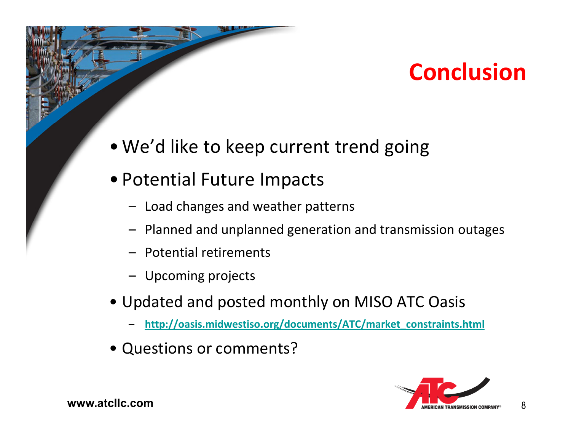### **Conclusion**

- We'd like to keep current trend going
- Potential Future Impacts
	- Load changes and weather patterns
	- Planned and unplanned generation and transmission outages
	- Potential retirements
	- Upcoming projects
- Updated and posted monthly on MISO ATC Oasis
	- –**http://oasis.midwestiso.org/documents/ATC/market\_constraints.html**
- Questions or comments?



8